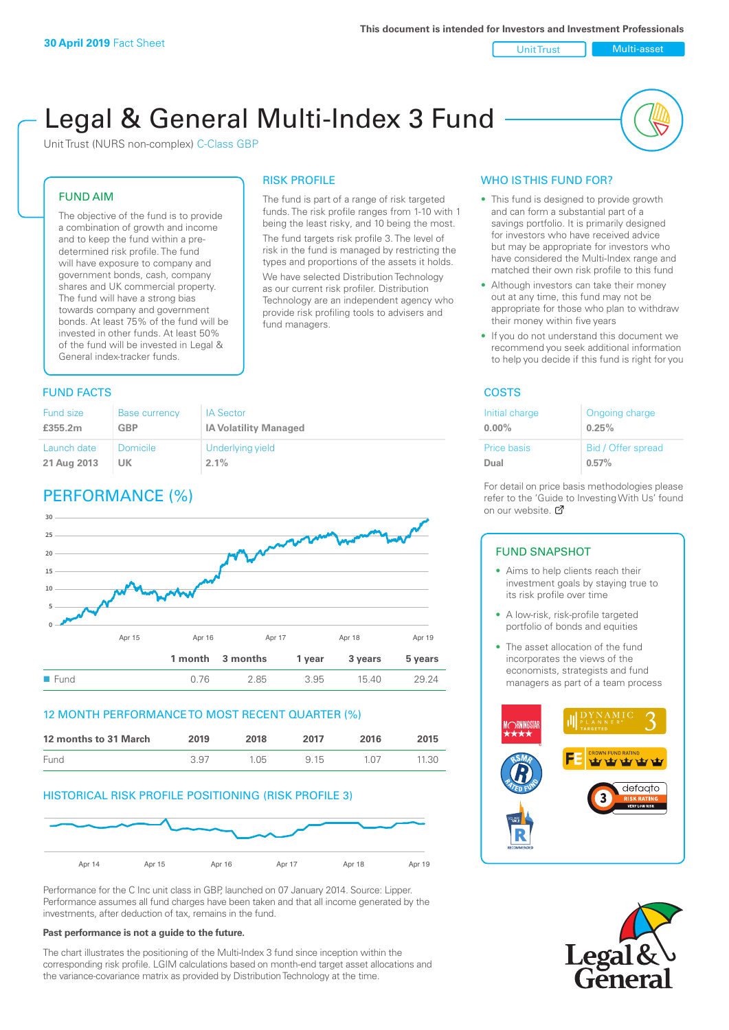Unit Trust Multi-asset

# Legal & General Multi-Index 3 Fund

RISK PROFILE

fund managers.

The fund is part of a range of risk targeted funds. The risk profile ranges from 1-10 with 1 being the least risky, and 10 being the most. The fund targets risk profile 3. The level of risk in the fund is managed by restricting the types and proportions of the assets it holds. We have selected Distribution Technology as our current risk profiler. Distribution Technology are an independent agency who provide risk profiling tools to advisers and

Unit Trust (NURS non-complex) C-Class GBP

#### FUND AIM

The objective of the fund is to provide a combination of growth and income and to keep the fund within a predetermined risk profile. The fund will have exposure to company and government bonds, cash, company shares and UK commercial property. The fund will have a strong bias towards company and government bonds. At least 75% of the fund will be invested in other funds. At least 50% of the fund will be invested in Legal & General index-tracker funds.

### **FUND FACTS** COSTS

| <b>Fund size</b> | <b>Base currency</b> | <b>IA</b> Sector             |
|------------------|----------------------|------------------------------|
| £355.2m          | GBP                  | <b>IA Volatility Managed</b> |
| Launch date      | <b>Domicile</b>      | Underlying yield             |
| 21 Aug 2013      | UK                   | $2.1\%$                      |

## PERFORMANCE (%)



#### 12 MONTH PERFORMANCE TO MOST RECENT QUARTER (%)

| 12 months to 31 March | 2019 | 2018 | 2017 | 2016  | 2015  |
|-----------------------|------|------|------|-------|-------|
| Fund                  | 3.97 | 1.05 | 9 15 | 1 N 7 | 11.30 |

#### HISTORICAL RISK PROFILE POSITIONING (RISK PROFILE 3)



Performance for the C Inc unit class in GBP, launched on 07 January 2014. Source: Lipper. Performance assumes all fund charges have been taken and that all income generated by the investments, after deduction of tax, remains in the fund.

#### **Past performance is not a guide to the future.**

The chart illustrates the positioning of the Multi-Index 3 fund since inception within the corresponding risk profile. LGIM calculations based on month-end target asset allocations and the variance-covariance matrix as provided by Distribution Technology at the time.

#### WHO IS THIS FUND FOR?

- This fund is designed to provide growth and can form a substantial part of a savings portfolio. It is primarily designed for investors who have received advice but may be appropriate for investors who have considered the Multi-Index range and matched their own risk profile to this fund
- Although investors can take their money out at any time, this fund may not be appropriate for those who plan to withdraw their money within five years
- If you do not understand this document we recommend you seek additional information to help you decide if this fund is right for you

| Initial charge | Ongoing charge     |
|----------------|--------------------|
| $0.00\%$       | 0.25%              |
| Price basis    | Bid / Offer spread |
| Dual           | 0.57%              |

For detail on price basis methodologies please refer to the 'Gu[ide t](http://www.legalandgeneral.com/guide)o Investing With Us' found on our website. *P* 

#### FUND SNAPSHOT

- Aims to help clients reach their investment goals by staying true to its risk profile over time
- A low-risk, risk-profile targeted portfolio of bonds and equities
- The asset allocation of the fund incorporates the views of the economists, strategists and fund managers as part of a team process



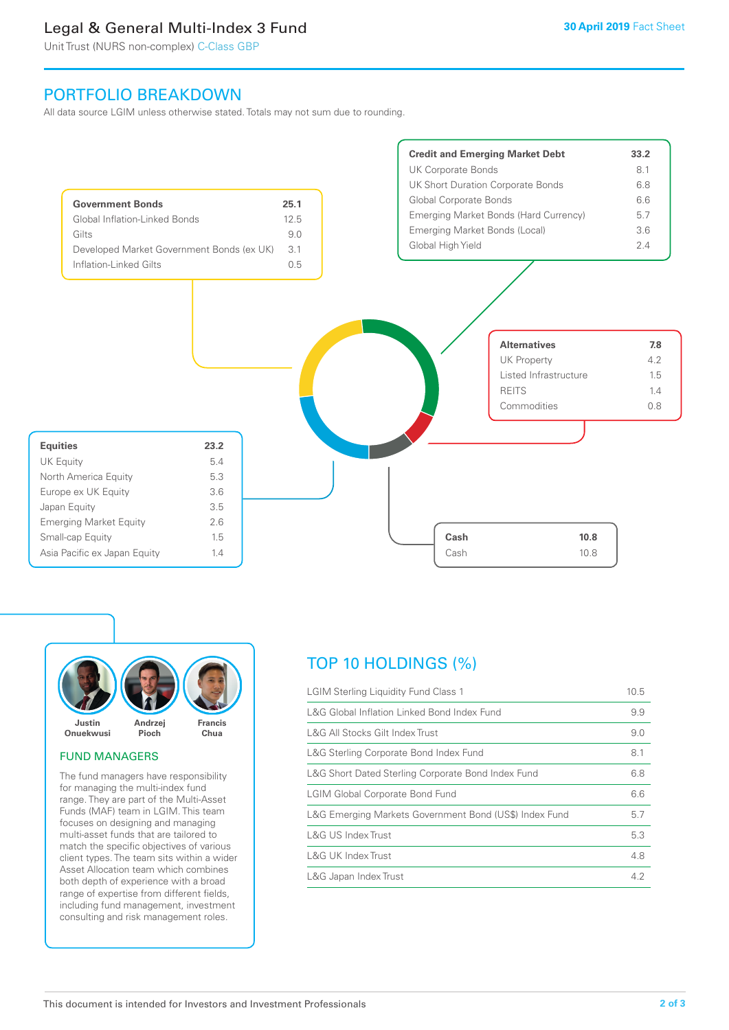### Legal & General Multi-Index 3 Fund

Unit Trust (NURS non-complex) C-Class GBP

### PORTFOLIO BREAKDOWN

All data source LGIM unless otherwise stated. Totals may not sum due to rounding.





#### FUND MANAGERS

The fund managers have responsibility for managing the multi-index fund range. They are part of the Multi-Asset Funds (MAF) team in LGIM. This team focuses on designing and managing multi-asset funds that are tailored to match the specific objectives of various client types. The team sits within a wider Asset Allocation team which combines both depth of experience with a broad range of expertise from different fields, including fund management, investment consulting and risk management roles.

### TOP 10 HOLDINGS (%)

| <b>LGIM Sterling Liquidity Fund Class 1</b>            | 10.5 |
|--------------------------------------------------------|------|
| L&G Global Inflation Linked Bond Index Fund            | 9.9  |
| L&G All Stocks Gilt Index Trust                        | 9.0  |
| L&G Sterling Corporate Bond Index Fund                 | 8.1  |
| L&G Short Dated Sterling Corporate Bond Index Fund     | 6.8  |
| <b>LGIM Global Corporate Bond Fund</b>                 |      |
| L&G Emerging Markets Government Bond (US\$) Index Fund |      |
| L&G US Index Trust                                     | 5.3  |
| <b>L&amp;G UK Index Trust</b>                          | 4.8  |
| L&G Japan Index Trust                                  | 4.2  |